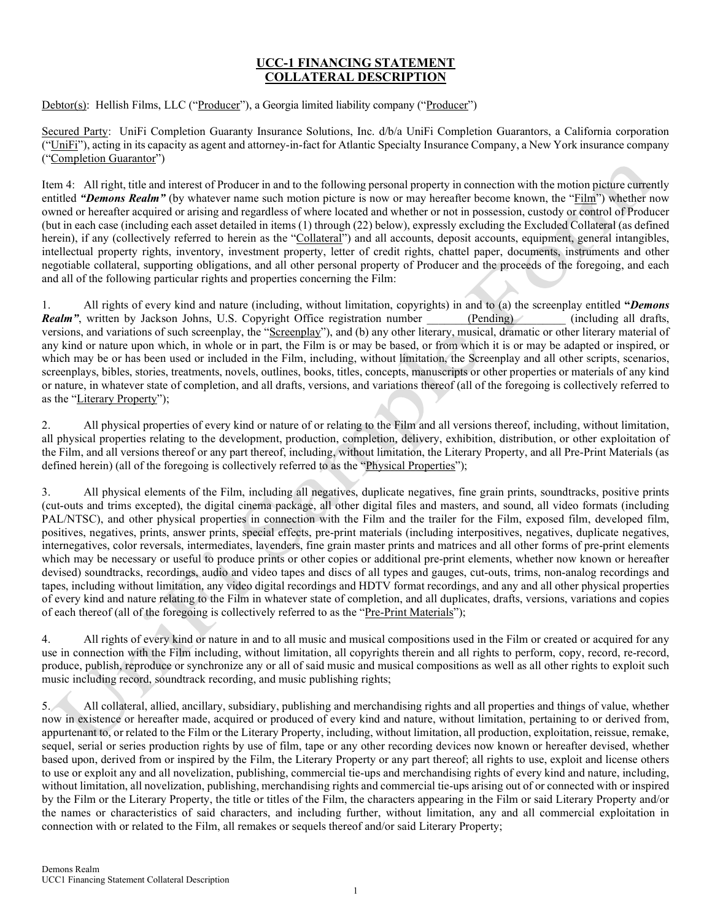## UCC-1 FINANCING STATEMENT COLLATERAL DESCRIPTION

Debtor(s): Hellish Films, LLC ("Producer"), a Georgia limited liability company ("Producer")

Secured Party: UniFi Completion Guaranty Insurance Solutions, Inc. d/b/a UniFi Completion Guarantors, a California corporation ("UniFi"), acting in its capacity as agent and attorney-in-fact for Atlantic Specialty Insurance Company, a New York insurance company ("Completion Guarantor")

Item 4: All right, title and interest of Producer in and to the following personal property in connection with the motion picture currently entitled "Demons Realm" (by whatever name such motion picture is now or may hereafter become known, the "Film") whether now owned or hereafter acquired or arising and regardless of where located and whether or not in possession, custody or control of Producer (but in each case (including each asset detailed in items (1) through (22) below), expressly excluding the Excluded Collateral (as defined herein), if any (collectively referred to herein as the "Collateral") and all accounts, deposit accounts, equipment, general intangibles, intellectual property rights, inventory, investment property, letter of credit rights, chattel paper, documents, instruments and other negotiable collateral, supporting obligations, and all other personal property of Producer and the proceeds of the foregoing, and each and all of the following particular rights and properties concerning the Film:

1. All rights of every kind and nature (including, without limitation, copyrights) in and to (a) the screenplay entitled "Demons Realm", written by Jackson Johns, U.S. Copyright Office registration number (Pending) (including all drafts, versions, and variations of such screenplay, the "Screenplay"), and (b) any other literary, musical, dramatic or other literary material of any kind or nature upon which, in whole or in part, the Film is or may be based, or from which it is or may be adapted or inspired, or which may be or has been used or included in the Film, including, without limitation, the Screenplay and all other scripts, scenarios, screenplays, bibles, stories, treatments, novels, outlines, books, titles, concepts, manuscripts or other properties or materials of any kind or nature, in whatever state of completion, and all drafts, versions, and variations thereof (all of the foregoing is collectively referred to as the "Literary Property");

2. All physical properties of every kind or nature of or relating to the Film and all versions thereof, including, without limitation, all physical properties relating to the development, production, completion, delivery, exhibition, distribution, or other exploitation of the Film, and all versions thereof or any part thereof, including, without limitation, the Literary Property, and all Pre-Print Materials (as defined herein) (all of the foregoing is collectively referred to as the "Physical Properties");

3. All physical elements of the Film, including all negatives, duplicate negatives, fine grain prints, soundtracks, positive prints (cut-outs and trims excepted), the digital cinema package, all other digital files and masters, and sound, all video formats (including PAL/NTSC), and other physical properties in connection with the Film and the trailer for the Film, exposed film, developed film, positives, negatives, prints, answer prints, special effects, pre-print materials (including interpositives, negatives, duplicate negatives, internegatives, color reversals, intermediates, lavenders, fine grain master prints and matrices and all other forms of pre-print elements which may be necessary or useful to produce prints or other copies or additional pre-print elements, whether now known or hereafter devised) soundtracks, recordings, audio and video tapes and discs of all types and gauges, cut-outs, trims, non-analog recordings and tapes, including without limitation, any video digital recordings and HDTV format recordings, and any and all other physical properties of every kind and nature relating to the Film in whatever state of completion, and all duplicates, drafts, versions, variations and copies of each thereof (all of the foregoing is collectively referred to as the "Pre-Print Materials");

4. All rights of every kind or nature in and to all music and musical compositions used in the Film or created or acquired for any use in connection with the Film including, without limitation, all copyrights therein and all rights to perform, copy, record, re-record, produce, publish, reproduce or synchronize any or all of said music and musical compositions as well as all other rights to exploit such music including record, soundtrack recording, and music publishing rights;

5. All collateral, allied, ancillary, subsidiary, publishing and merchandising rights and all properties and things of value, whether now in existence or hereafter made, acquired or produced of every kind and nature, without limitation, pertaining to or derived from, appurtenant to, or related to the Film or the Literary Property, including, without limitation, all production, exploitation, reissue, remake, sequel, serial or series production rights by use of film, tape or any other recording devices now known or hereafter devised, whether based upon, derived from or inspired by the Film, the Literary Property or any part thereof; all rights to use, exploit and license others to use or exploit any and all novelization, publishing, commercial tie-ups and merchandising rights of every kind and nature, including, without limitation, all novelization, publishing, merchandising rights and commercial tie-ups arising out of or connected with or inspired by the Film or the Literary Property, the title or titles of the Film, the characters appearing in the Film or said Literary Property and/or the names or characteristics of said characters, and including further, without limitation, any and all commercial exploitation in connection with or related to the Film, all remakes or sequels thereof and/or said Literary Property;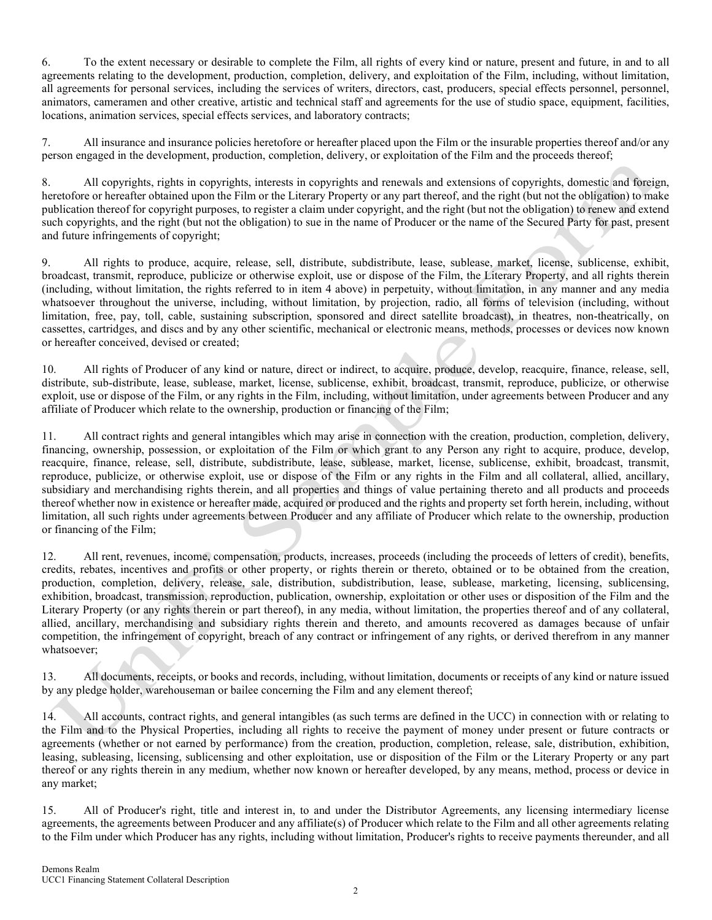6. To the extent necessary or desirable to complete the Film, all rights of every kind or nature, present and future, in and to all agreements relating to the development, production, completion, delivery, and exploitation of the Film, including, without limitation, all agreements for personal services, including the services of writers, directors, cast, producers, special effects personnel, personnel, animators, cameramen and other creative, artistic and technical staff and agreements for the use of studio space, equipment, facilities, locations, animation services, special effects services, and laboratory contracts;

7. All insurance and insurance policies heretofore or hereafter placed upon the Film or the insurable properties thereof and/or any person engaged in the development, production, completion, delivery, or exploitation of the Film and the proceeds thereof;

8. All copyrights, rights in copyrights, interests in copyrights and renewals and extensions of copyrights, domestic and foreign, heretofore or hereafter obtained upon the Film or the Literary Property or any part thereof, and the right (but not the obligation) to make publication thereof for copyright purposes, to register a claim under copyright, and the right (but not the obligation) to renew and extend such copyrights, and the right (but not the obligation) to sue in the name of Producer or the name of the Secured Party for past, present and future infringements of copyright;

9. All rights to produce, acquire, release, sell, distribute, subdistribute, lease, sublease, market, license, sublicense, exhibit, broadcast, transmit, reproduce, publicize or otherwise exploit, use or dispose of the Film, the Literary Property, and all rights therein (including, without limitation, the rights referred to in item 4 above) in perpetuity, without limitation, in any manner and any media whatsoever throughout the universe, including, without limitation, by projection, radio, all forms of television (including, without limitation, free, pay, toll, cable, sustaining subscription, sponsored and direct satellite broadcast), in theatres, non-theatrically, on cassettes, cartridges, and discs and by any other scientific, mechanical or electronic means, methods, processes or devices now known or hereafter conceived, devised or created;

10. All rights of Producer of any kind or nature, direct or indirect, to acquire, produce, develop, reacquire, finance, release, sell, distribute, sub-distribute, lease, sublease, market, license, sublicense, exhibit, broadcast, transmit, reproduce, publicize, or otherwise exploit, use or dispose of the Film, or any rights in the Film, including, without limitation, under agreements between Producer and any affiliate of Producer which relate to the ownership, production or financing of the Film;

11. All contract rights and general intangibles which may arise in connection with the creation, production, completion, delivery, financing, ownership, possession, or exploitation of the Film or which grant to any Person any right to acquire, produce, develop, reacquire, finance, release, sell, distribute, subdistribute, lease, sublease, market, license, sublicense, exhibit, broadcast, transmit, reproduce, publicize, or otherwise exploit, use or dispose of the Film or any rights in the Film and all collateral, allied, ancillary, subsidiary and merchandising rights therein, and all properties and things of value pertaining thereto and all products and proceeds thereof whether now in existence or hereafter made, acquired or produced and the rights and property set forth herein, including, without limitation, all such rights under agreements between Producer and any affiliate of Producer which relate to the ownership, production or financing of the Film;

12. All rent, revenues, income, compensation, products, increases, proceeds (including the proceeds of letters of credit), benefits, credits, rebates, incentives and profits or other property, or rights therein or thereto, obtained or to be obtained from the creation, production, completion, delivery, release, sale, distribution, subdistribution, lease, sublease, marketing, licensing, sublicensing, exhibition, broadcast, transmission, reproduction, publication, ownership, exploitation or other uses or disposition of the Film and the Literary Property (or any rights therein or part thereof), in any media, without limitation, the properties thereof and of any collateral, allied, ancillary, merchandising and subsidiary rights therein and thereto, and amounts recovered as damages because of unfair competition, the infringement of copyright, breach of any contract or infringement of any rights, or derived therefrom in any manner whatsoever;

13. All documents, receipts, or books and records, including, without limitation, documents or receipts of any kind or nature issued by any pledge holder, warehouseman or bailee concerning the Film and any element thereof;

14. All accounts, contract rights, and general intangibles (as such terms are defined in the UCC) in connection with or relating to the Film and to the Physical Properties, including all rights to receive the payment of money under present or future contracts or agreements (whether or not earned by performance) from the creation, production, completion, release, sale, distribution, exhibition, leasing, subleasing, licensing, sublicensing and other exploitation, use or disposition of the Film or the Literary Property or any part thereof or any rights therein in any medium, whether now known or hereafter developed, by any means, method, process or device in any market;

15. All of Producer's right, title and interest in, to and under the Distributor Agreements, any licensing intermediary license agreements, the agreements between Producer and any affiliate(s) of Producer which relate to the Film and all other agreements relating to the Film under which Producer has any rights, including without limitation, Producer's rights to receive payments thereunder, and all